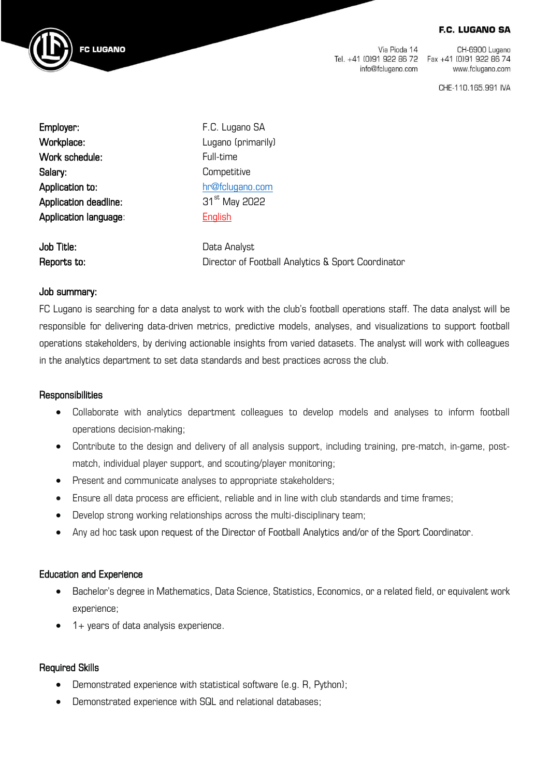#### **F.C. LUGANO SA**



Via Pioda 14 Tel. +41 (0)91 922 86 72 Fax +41 (0)91 922 86 74 info@fclugano.com

CH-6900 Lugano www.fclugano.com

CHE-110.165.991 IVA

Employer: The C. Lugano SA Workplace: Lugano (primarily) Work schedule: Full-time Salary: Competitive Application to: hr@fclugano.com Application deadline: 31<sup>st</sup> May 2022 Application language: English

**Job Title:** Data Analyst Reports to: Director of Football Analytics & Sport Coordinator

### Job summary:

FC Lugano is searching for a data analyst to work with the club's football operations staff. The data analyst will be responsible for delivering data-driven metrics, predictive models, analyses, and visualizations to support football operations stakeholders, by deriving actionable insights from varied datasets. The analyst will work with colleagues in the analytics department to set data standards and best practices across the club.

### **Responsibilities**

- Collaborate with analytics department colleagues to develop models and analyses to inform football operations decision-making;
- Contribute to the design and delivery of all analysis support, including training, pre-match, in-game, postmatch, individual player support, and scouting/player monitoring;
- Present and communicate analyses to appropriate stakeholders;
- Ensure all data process are efficient, reliable and in line with club standards and time frames;
- Develop strong working relationships across the multi-disciplinary team;
- Any ad hoc task upon request of the Director of Football Analytics and/or of the Sport Coordinator.

### Education and Experience

- Bachelor's degree in Mathematics, Data Science, Statistics, Economics, or a related field, or equivalent work experience;
- 1+ years of data analysis experience.

# Required Skills

- Demonstrated experience with statistical software (e.g. R, Python);
- Demonstrated experience with SQL and relational databases;